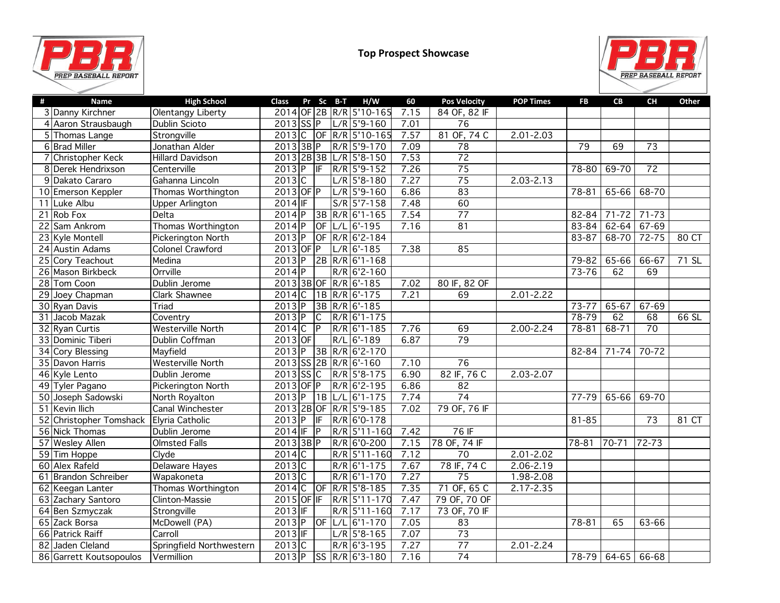



| # | Name                    | <b>High School</b>       | Pr Sc B-T<br><b>Class</b>            | H/W             | 60   | <b>Pos Velocity</b> | <b>POP Times</b> | <b>FB</b> | CB            | CH              | Other |
|---|-------------------------|--------------------------|--------------------------------------|-----------------|------|---------------------|------------------|-----------|---------------|-----------------|-------|
|   | 3 Danny Kirchner        | Olentangy Liberty        | 2014 OF 2B R/R 5'10-165              |                 | 7.15 | 84 OF, 82 IF        |                  |           |               |                 |       |
|   | 4 Aaron Strausbaugh     | Dublin Scioto            | $2013$ SSP                           | $L/R$ 5'9-160   | 7.01 | $\overline{76}$     |                  |           |               |                 |       |
|   | 5 Thomas Lange          | Strongville              | $2013$ C<br> OF                      | R/R 5'10-165    | 7.57 | 81 OF, 74 C         | $2.01 - 2.03$    |           |               |                 |       |
|   | 6 Brad Miller           | Jonathan Alder           | 2013 3B P                            | R/R 5'9-170     | 7.09 | 78                  |                  | 79        | 69            | $\overline{73}$ |       |
|   | 7 Christopher Keck      | <b>Hillard Davidson</b>  | 2013 2B 3B                           | $L/R$ 5'8-150   | 7.53 | $\overline{72}$     |                  |           |               |                 |       |
|   | 8 Derek Hendrixson      | Centerville              | $2013$ P<br>$\overline{\textsf{IF}}$ | R/R 5'9-152     | 7.26 | $\overline{75}$     |                  | $78 - 80$ | $69 - 70$     | $\overline{72}$ |       |
|   | 9 Dakato Cararo         | Gahanna Lincoln          | 2013C                                | $L/R$ 5'8-180   | 7.27 | $\overline{75}$     | $2.03 - 2.13$    |           |               |                 |       |
|   | 10 Emerson Keppler      | Thomas Worthington       | $2013$ OF P                          | $L/R$ 5'9-160   | 6.86 | $\overline{83}$     |                  | 78-81     | 65-66         | 68-70           |       |
|   | 11 Luke Albu            | <b>Upper Arlington</b>   | $2014$ IF                            | $S/R$ 5'7-158   | 7.48 | 60                  |                  |           |               |                 |       |
|   | 21 Rob Fox              | Delta                    | $2014$ P                             | 3B R/R 6'1-165  | 7.54 | $\overline{77}$     |                  | 82-84     | $71 - 72$     | $71 - 73$       |       |
|   | 22 Sam Ankrom           | Thomas Worthington       | $2014$ P<br>$\overline{\mathsf{OF}}$ | $L/L$ 6'-195    | 7.16 | $\overline{81}$     |                  | 83-84     | $62 - 64$     | $67 - 69$       |       |
|   | 23 Kyle Montell         | Pickerington North       | $2013$ P<br>$\overline{\text{OF}}$   | R/R 6'2-184     |      |                     |                  | 83-87     | 68-70         | $72 - 75$       | 80 CT |
|   | 24 Austin Adams         | <b>Colonel Crawford</b>  | $2013$ OF P                          | $L/R$ 6'-185    | 7.38 | 85                  |                  |           |               |                 |       |
|   | 25 Cory Teachout        | Medina                   | $2013$ P                             | 2B R/R 6'1-168  |      |                     |                  | 79-82     | 65-66         | 66-67           | 71 SL |
|   | 26 Mason Birkbeck       | Orrville                 | $2014$ $P$                           | $R/R$ 6'2-160   |      |                     |                  | $73 - 76$ | 62            | 69              |       |
|   | 28 Tom Coon             | Dublin Jerome            | 2013 3B OF                           | $R/R$ 6'-185    | 7.02 | 80 IF, 82 OF        |                  |           |               |                 |       |
|   | 29 Joey Chapman         | Clark Shawnee            | $2014$ C                             | 1B R/R 6'-175   | 7.21 | 69                  | $2.01 - 2.22$    |           |               |                 |       |
|   | 30 Ryan Davis           | Triad                    | $2013$ P                             | $3B$ R/R 6'-185 |      |                     |                  | $73 - 77$ | $65 - 67$     | $67 - 69$       |       |
|   | 31 Jacob Mazak          | Coventry                 | $2013$ P<br>$\overline{\mathsf{c}}$  | $R/R$ 6'1-175   |      |                     |                  | 78-79     | 62            | 68              | 66 SL |
|   | 32 Ryan Curtis          | <b>Westerville North</b> | 2014C<br>$\overline{P}$              | R/R 6'1-185     | 7.76 | 69                  | $2.00 - 2.24$    | 78-81     | $68 - 71$     | $\overline{70}$ |       |
|   | 33 Dominic Tiberi       | Dublin Coffman           | $2013$ OF                            | R/L 6'-189      | 6.87 | $\overline{79}$     |                  |           |               |                 |       |
|   | 34 Cory Blessing        | Mayfield                 | $2013$ P<br>$\overline{3B}$          | R/R 6'2-170     |      |                     |                  | 82-84     | $71 - 74$     | $70 - 72$       |       |
|   | 35 Davon Harris         | <b>Westerville North</b> | 2013 SS 2B R/R 6'-160                |                 | 7.10 | $\overline{76}$     |                  |           |               |                 |       |
|   | 46 Kyle Lento           | Dublin Jerome            | $2013$ SSC                           | R/R 5'8-175     | 6.90 | 82 IF, 76 C         | $2.03 - 2.07$    |           |               |                 |       |
|   | 49 Tyler Pagano         | Pickerington North       | 2013 OF P                            | R/R 6'2-195     | 6.86 | $\overline{82}$     |                  |           |               |                 |       |
|   | 50 Joseph Sadowski      | North Royalton           | $2013$ P<br>1B                       | L/L 6'1-175     | 7.74 | $\overline{74}$     |                  | 77-79     | 65-66         | $69 - 70$       |       |
|   | 51 Kevin Ilich          | Canal Winchester         | 2013 2B OF                           | $R/R$ 5'9-185   | 7.02 | 79 OF, 76 IF        |                  |           |               |                 |       |
|   | 52 Christopher Tomshack | Elyria Catholic          | $2013$ P<br>IF                       | R/R 6'0-178     |      |                     |                  | $81 - 85$ |               | $\overline{73}$ | 81 CT |
|   | 56 Nick Thomas          | Dublin Jerome            | $2014$ IF<br>$\overline{\mathsf{P}}$ | R/R 5'11-160    | 7.42 | 76IF                |                  |           |               |                 |       |
|   | 57 Wesley Allen         | <b>Olmsted Falls</b>     | 2013 3B P                            | R/R 6'0-200     | 7.15 | 78 OF, 74 IF        |                  | 78-81     | 70-71         | 72-73           |       |
|   | 59 Tim Hoppe            | Clyde                    | $2014$ C                             | R/R 5'11-160    | 7.12 | $\overline{70}$     | $2.01 - 2.02$    |           |               |                 |       |
|   | 60 Alex Rafeld          | Delaware Hayes           | $2013$ C                             | $R/R$ 6'1-175   | 7.67 | 78 IF, 74 C         | $2.06 - 2.19$    |           |               |                 |       |
|   | 61 Brandon Schreiber    | Wapakoneta               | $2013$ C                             | R/R 6'1-170     | 7.27 | $\overline{75}$     | $1.98 - 2.08$    |           |               |                 |       |
|   | 62 Keegan Lanter        | Thomas Worthington       | 2014C<br>$\overline{or}$             | R/R 5'8-185     | 7.35 | 71 OF, 65 C         | $2.17 - 2.35$    |           |               |                 |       |
|   | 63 Zachary Santoro      | Clinton-Massie           | 2015 OF IF                           | R/R 5'11-170    | 7.47 | 79 OF, 70 OF        |                  |           |               |                 |       |
|   | 64 Ben Szmyczak         | Strongville              | $2013$ IF                            | R/R 5'11-160    | 7.17 | 73 OF, 70 IF        |                  |           |               |                 |       |
|   | 65 Zack Borsa           | McDowell (PA)            | $2013$ P                             | OF L/L 6'1-170  | 7.05 | 83                  |                  | $78 - 81$ | 65            | 63-66           |       |
|   | 66 Patrick Raiff        | Carroll                  | $2013$ IF                            | $L/R$ 5'8-165   | 7.07 | $\overline{73}$     |                  |           |               |                 |       |
|   | 82 Jaden Cleland        | Springfield Northwestern | $2013$ C                             | $R/R$ 6'3-195   | 7.27 | $\overline{77}$     | $2.01 - 2.24$    |           |               |                 |       |
|   | 86 Garrett Koutsopoulos | Vermillion               | $2013$ P                             | SS R/R 6'3-180  | 7.16 | $\overline{74}$     |                  | 78-79     | $64-65$ 66-68 |                 |       |